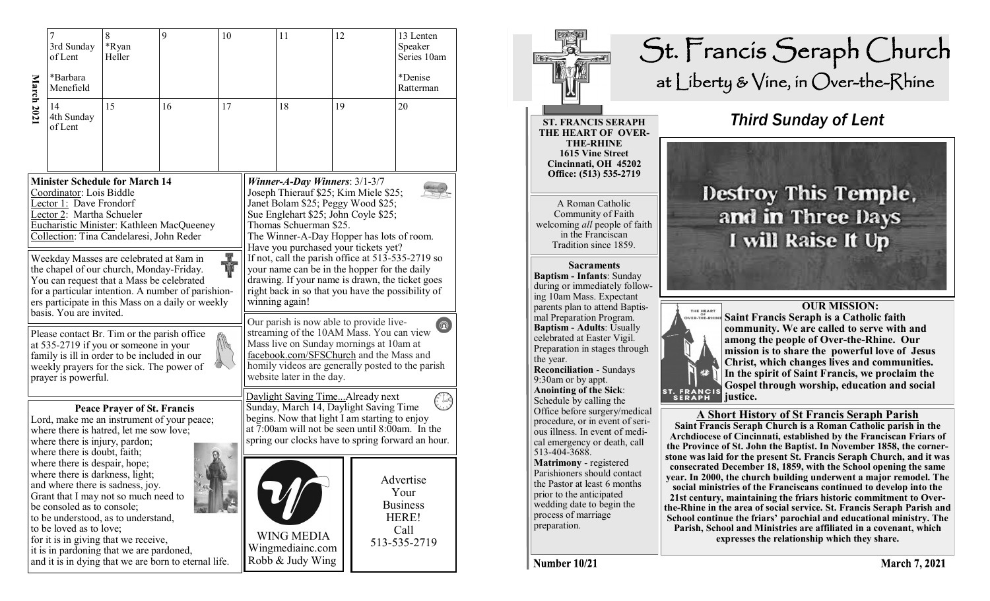| March 2021                                                                                                                                                                                                                                                                        | 7<br>3rd Sunday<br>of Lent                                                                                                                                                                                                                                                                                                       | 8<br>*Ryan<br>Heller | 9<br>10 |                                                                                                                                                                                                                                                                           |  | 11                                                                                                                                                                                                                                                                  | 12 |  | 13 Lenten<br>Speaker<br>Series 10am                                   |  |
|-----------------------------------------------------------------------------------------------------------------------------------------------------------------------------------------------------------------------------------------------------------------------------------|----------------------------------------------------------------------------------------------------------------------------------------------------------------------------------------------------------------------------------------------------------------------------------------------------------------------------------|----------------------|---------|---------------------------------------------------------------------------------------------------------------------------------------------------------------------------------------------------------------------------------------------------------------------------|--|---------------------------------------------------------------------------------------------------------------------------------------------------------------------------------------------------------------------------------------------------------------------|----|--|-----------------------------------------------------------------------|--|
|                                                                                                                                                                                                                                                                                   | *Barbara<br>Menefield                                                                                                                                                                                                                                                                                                            |                      |         |                                                                                                                                                                                                                                                                           |  |                                                                                                                                                                                                                                                                     |    |  | *Denise<br>Ratterman                                                  |  |
|                                                                                                                                                                                                                                                                                   | 14<br>4th Sunday<br>of Lent                                                                                                                                                                                                                                                                                                      | 15                   | 16      | 17                                                                                                                                                                                                                                                                        |  | 18                                                                                                                                                                                                                                                                  | 19 |  | 20                                                                    |  |
| <b>Minister Schedule for March 14</b><br>Coordinator: Lois Biddle<br>Lector 1: Dave Frondorf<br>Lector 2: Martha Schueler<br>Eucharistic Minister: Kathleen MacQueeney<br>Collection: Tina Candelaresi, John Reder                                                                |                                                                                                                                                                                                                                                                                                                                  |                      |         |                                                                                                                                                                                                                                                                           |  | Winner-A-Day Winners: $3/1-3/7$<br>Joseph Thierauf \$25; Kim Miele \$25;<br>Janet Bolam \$25; Peggy Wood \$25;<br>Sue Englehart \$25; John Coyle \$25;<br>Thomas Schuerman \$25.<br>The Winner-A-Day Hopper has lots of room.                                       |    |  |                                                                       |  |
| R<br>Vi<br>Weekday Masses are celebrated at 8am in<br>the chapel of our church, Monday-Friday.<br>You can request that a Mass be celebrated<br>for a particular intention. A number of parishion-<br>ers participate in this Mass on a daily or weekly<br>basis. You are invited. |                                                                                                                                                                                                                                                                                                                                  |                      |         |                                                                                                                                                                                                                                                                           |  | Have you purchased your tickets yet?<br>If not, call the parish office at 513-535-2719 so<br>your name can be in the hopper for the daily<br>drawing. If your name is drawn, the ticket goes<br>right back in so that you have the possibility of<br>winning again! |    |  |                                                                       |  |
|                                                                                                                                                                                                                                                                                   | Please contact Br. Tim or the parish office<br>at 535-2719 if you or someone in your<br>family is ill in order to be included in our<br>weekly prayers for the sick. The power of<br>prayer is powerful.                                                                                                                         |                      |         | Our parish is now able to provide live-<br>$\circledR$<br>streaming of the 10AM Mass. You can view<br>Mass live on Sunday mornings at 10am at<br>facebook.com/SFSChurch and the Mass and<br>homily videos are generally posted to the parish<br>website later in the day. |  |                                                                                                                                                                                                                                                                     |    |  |                                                                       |  |
| <b>Peace Prayer of St. Francis</b><br>Lord, make me an instrument of your peace;<br>where there is hatred, let me sow love;<br>where there is injury, pardon;<br>where there is doubt, faith;                                                                                     |                                                                                                                                                                                                                                                                                                                                  |                      |         |                                                                                                                                                                                                                                                                           |  | Daylight Saving Time Already next<br>Sunday, March 14, Daylight Saving Time<br>begins. Now that light I am starting to enjoy<br>at 7:00am will not be seen until 8:00am. In the<br>spring our clocks have to spring forward an hour.                                |    |  |                                                                       |  |
|                                                                                                                                                                                                                                                                                   | where there is despair, hope;<br>where there is darkness, light;<br>and where there is sadness, joy.<br>Grant that I may not so much need to<br>be consoled as to console;<br>to be understood, as to understand,<br>to be loved as to love;<br>for it is in giving that we receive,<br>it is in pardoning that we are pardoned, |                      |         |                                                                                                                                                                                                                                                                           |  | <b>WING MEDIA</b><br>Wingmediainc.com                                                                                                                                                                                                                               |    |  | Advertise<br>Your<br><b>Business</b><br>HERE!<br>Call<br>513-535-2719 |  |



Number 10/21